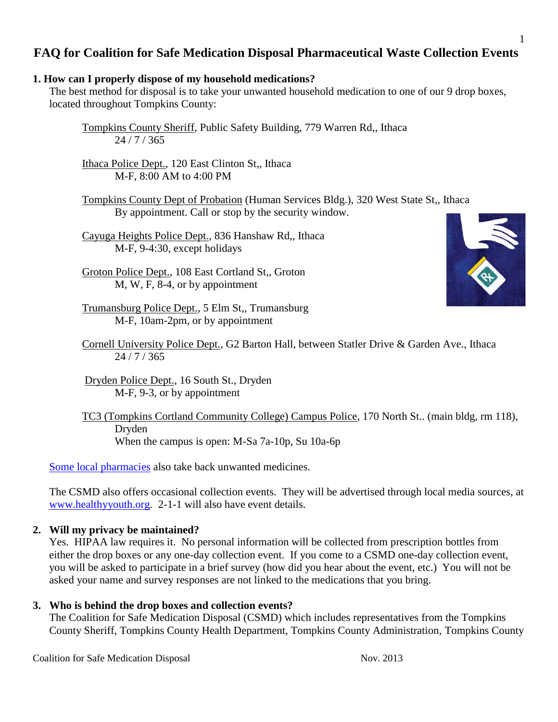# **FAQ for Coalition for Safe Medication Disposal Pharmaceutical Waste Collection Events**

### **1. How can I properly dispose of my household medications?**

The best method for disposal is to take your unwanted household medication to one of our 9 drop boxes, located throughout Tompkins County:

Ithaca Police Dept., 120 East Clinton St,, Ithaca M-F, 8:00 AM to 4:00 PM

Tompkins County Dept of Probation (Human Services Bldg.), 320 West State St,, Ithaca By appointment. Call or stop by the security window.

Cayuga Heights Police Dept., 836 Hanshaw Rd,, Ithaca M-F, 9-4:30, except holidays

Groton Police Dept., 108 East Cortland St,, Groton M, W, F, 8-4, or by appointment

Trumansburg Police Dept., 5 Elm St,, Trumansburg M-F, 10am-2pm, or by appointment

Cornell University Police Dept., G2 Barton Hall, between Statler Drive & Garden Ave., Ithaca 24 / 7 / 365

Dryden Police Dept., 16 South St., Dryden M-F, 9-3, or by appointment

TC3 (Tompkins Cortland Community College) Campus Police, 170 North St.. (main bldg, rm 118), Dryden When the campus is open: M-Sa 7a-10p, Su 10a-6p

[Some local pharmacies](http://www.healthyyouth.org/documents/pharmacytakebacks_001.pdf) also take back unwanted medicines.

The CSMD also offers occasional collection events. They will be advertised through local media sources, at [www.healthyyouth.org.](http://www.healthyyouth.org/) 2-1-1 will also have event details.

#### **2. Will my privacy be maintained?**

Yes. HIPAA law requires it. No personal information will be collected from prescription bottles from either the drop boxes or any one-day collection event. If you come to a CSMD one-day collection event, you will be asked to participate in a brief survey (how did you hear about the event, etc.) You will not be asked your name and survey responses are not linked to the medications that you bring.

### **3. Who is behind the drop boxes and collection events?**

The Coalition for Safe Medication Disposal (CSMD) which includes representatives from the Tompkins County Sheriff, Tompkins County Health Department, Tompkins County Administration, Tompkins County

1



Tompkins County Sheriff, Public Safety Building, 779 Warren Rd,, Ithaca 24 / 7 / 365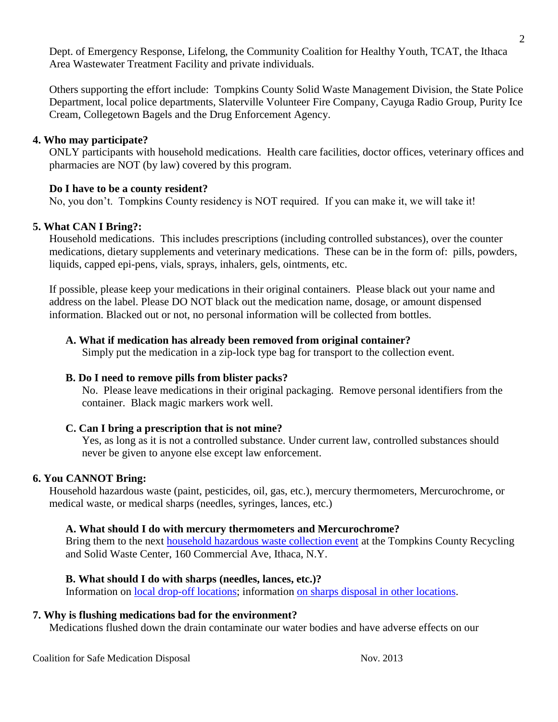Dept. of Emergency Response, Lifelong, the Community Coalition for Healthy Youth, TCAT, the Ithaca Area Wastewater Treatment Facility and private individuals.

Others supporting the effort include: Tompkins County Solid Waste Management Division, the State Police Department, local police departments, Slaterville Volunteer Fire Company, Cayuga Radio Group, Purity Ice Cream, Collegetown Bagels and the Drug Enforcement Agency.

#### **4. Who may participate?**

ONLY participants with household medications. Health care facilities, doctor offices, veterinary offices and pharmacies are NOT (by law) covered by this program.

### **Do I have to be a county resident?**

No, you don't. Tompkins County residency is NOT required. If you can make it, we will take it!

### **5. What CAN I Bring?:**

Household medications. This includes prescriptions (including controlled substances), over the counter medications, dietary supplements and veterinary medications. These can be in the form of: pills, powders, liquids, capped epi-pens, vials, sprays, inhalers, gels, ointments, etc.

If possible, please keep your medications in their original containers. Please black out your name and address on the label. Please DO NOT black out the medication name, dosage, or amount dispensed information. Blacked out or not, no personal information will be collected from bottles.

### **A. What if medication has already been removed from original container?**

Simply put the medication in a zip-lock type bag for transport to the collection event.

#### **B. Do I need to remove pills from blister packs?**

No. Please leave medications in their original packaging. Remove personal identifiers from the container. Black magic markers work well.

### **C. Can I bring a prescription that is not mine?**

Yes, as long as it is not a controlled substance. Under current law, controlled substances should never be given to anyone else except law enforcement.

#### **6. You CANNOT Bring:**

Household hazardous waste (paint, pesticides, oil, gas, etc.), mercury thermometers, Mercurochrome, or medical waste, or medical sharps (needles, syringes, lances, etc.)

#### **A. What should I do with mercury thermometers and Mercurochrome?**

Bring them to the next **household hazardous** waste collection event at the Tompkins County Recycling and Solid Waste Center, 160 Commercial Ave, Ithaca, N.Y.

### **B. What should I do with sharps (needles, lances, etc.)?**

Information on [local drop-off locations;](http://www.tompkins-co.org/health/dch/sharps-collect.htm) information [on sharps disposal](http://www.nyhealth.gov/diseases/aids/harm_reduction/needles_syringes/sharps/directory_sharpscollection.htm#directory) in other locations.

#### **7. Why is flushing medications bad for the environment?**

Medications flushed down the drain contaminate our water bodies and have adverse effects on our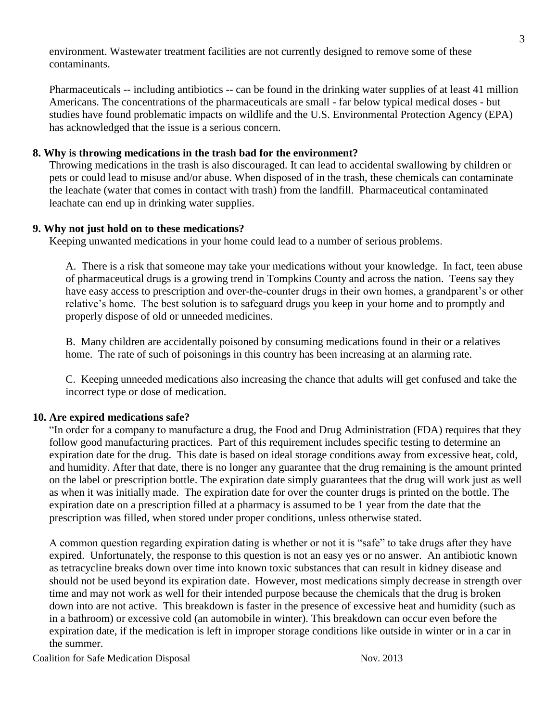environment. Wastewater treatment facilities are not currently designed to remove some of these contaminants.

Pharmaceuticals -- including antibiotics -- can be found in the drinking water supplies of at least 41 million Americans. The concentrations of the pharmaceuticals are small - far below typical medical doses - but studies have found problematic impacts on wildlife and the U.S. Environmental Protection Agency (EPA) has acknowledged that the issue is a serious concern.

### **8. Why is throwing medications in the trash bad for the environment?**

Throwing medications in the trash is also discouraged. It can lead to accidental swallowing by children or pets or could lead to misuse and/or abuse. When disposed of in the trash, these chemicals can contaminate the leachate (water that comes in contact with trash) from the landfill. Pharmaceutical contaminated leachate can end up in drinking water supplies.

### **9. Why not just hold on to these medications?**

Keeping unwanted medications in your home could lead to a number of serious problems.

A. There is a risk that someone may take your medications without your knowledge. In fact, teen abuse of pharmaceutical drugs is a growing trend in Tompkins County and across the nation. Teens say they have easy access to prescription and over-the-counter drugs in their own homes, a grandparent's or other relative's home. The best solution is to safeguard drugs you keep in your home and to promptly and properly dispose of old or unneeded medicines.

B. Many children are accidentally poisoned by consuming medications found in their or a relatives home. The rate of such of poisonings in this country has been increasing at an alarming rate.

C. Keeping unneeded medications also increasing the chance that adults will get confused and take the incorrect type or dose of medication.

#### **10. Are expired medications safe?**

"In order for a company to manufacture a drug, the Food and Drug Administration (FDA) requires that they follow good manufacturing practices. Part of this requirement includes specific testing to determine an expiration date for the drug. This date is based on ideal storage conditions away from excessive heat, cold, and humidity. After that date, there is no longer any guarantee that the drug remaining is the amount printed on the label or prescription bottle. The expiration date simply guarantees that the drug will work just as well as when it was initially made. The expiration date for over the counter drugs is printed on the bottle. The expiration date on a prescription filled at a pharmacy is assumed to be 1 year from the date that the prescription was filled, when stored under proper conditions, unless otherwise stated.

A common question regarding expiration dating is whether or not it is "safe" to take drugs after they have expired. Unfortunately, the response to this question is not an easy yes or no answer. An antibiotic known as tetracycline breaks down over time into known toxic substances that can result in kidney disease and should not be used beyond its expiration date. However, most medications simply decrease in strength over time and may not work as well for their intended purpose because the chemicals that the drug is broken down into are not active. This breakdown is faster in the presence of excessive heat and humidity (such as in a bathroom) or excessive cold (an automobile in winter). This breakdown can occur even before the expiration date, if the medication is left in improper storage conditions like outside in winter or in a car in the summer.

Coalition for Safe Medication Disposal Nov. 2013